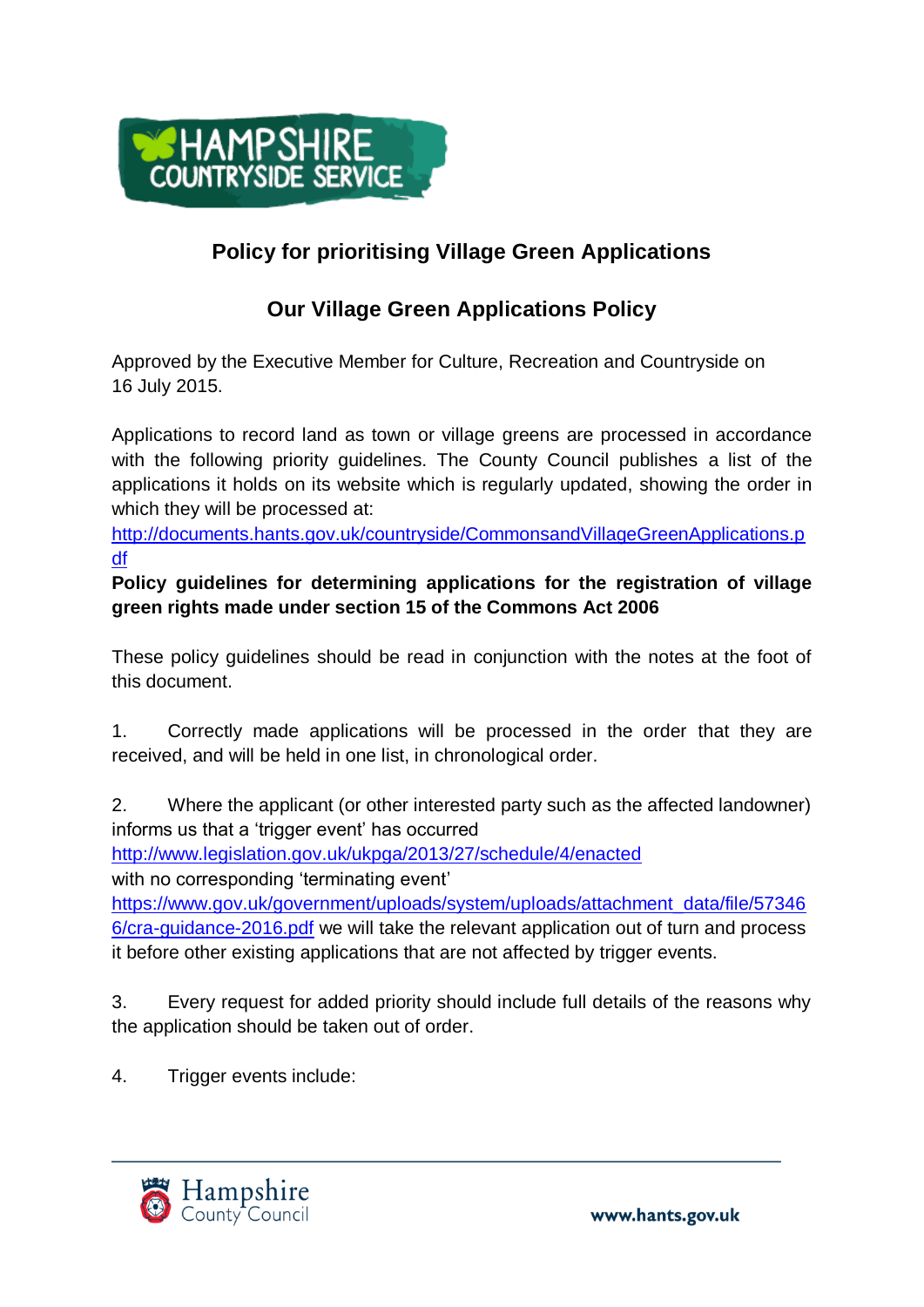

## **Policy for prioritising Village Green Applications**

## **Our Village Green Applications Policy**

Approved by the Executive Member for Culture, Recreation and Countryside on 16 July 2015.

Applications to record land as town or village greens are processed in accordance with the following priority quidelines. The County Council publishes a list of the applications it holds on its website which is regularly updated, showing the order in which they will be processed at:

[http://documents.hants.gov.uk/countryside/CommonsandVillageGreenApplications.p](http://documents.hants.gov.uk/countryside/CommonsandVillageGreenApplications.pdf) [df](http://documents.hants.gov.uk/countryside/CommonsandVillageGreenApplications.pdf)

**Policy guidelines for determining applications for the registration of village green rights made under section 15 of the Commons Act 2006**

These policy guidelines should be read in conjunction with the notes at the foot of this document.

1. Correctly made applications will be processed in the order that they are received, and will be held in one list, in chronological order.

2. Where the applicant (or other interested party such as the affected landowner) informs us that a 'trigger event' has occurred

<http://www.legislation.gov.uk/ukpga/2013/27/schedule/4/enacted>

with no corresponding 'terminating event'

[https://www.gov.uk/government/uploads/system/uploads/attachment\\_data/file/57346](https://www.gov.uk/government/uploads/system/uploads/attachment_data/file/573466/cra-guidance-2016.pdf) [6/cra-guidance-2016.pdf](https://www.gov.uk/government/uploads/system/uploads/attachment_data/file/573466/cra-guidance-2016.pdf) we will take the relevant application out of turn and process it before other existing applications that are not affected by trigger events.

3. Every request for added priority should include full details of the reasons why the application should be taken out of order.

4. Trigger events include: